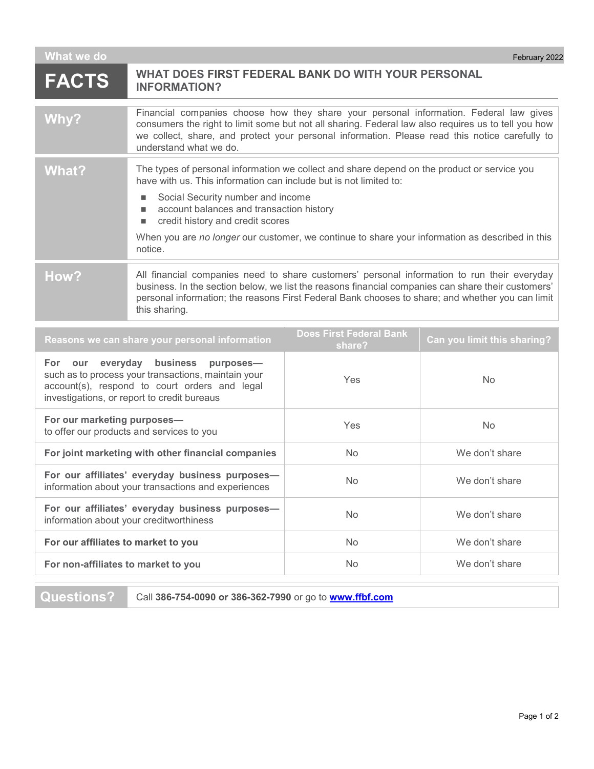| What we do                                                                                                                | February 2022                                                                                                                                                                                                                                                                                                                                                                                            |  |
|---------------------------------------------------------------------------------------------------------------------------|----------------------------------------------------------------------------------------------------------------------------------------------------------------------------------------------------------------------------------------------------------------------------------------------------------------------------------------------------------------------------------------------------------|--|
| <b>FACTS</b>                                                                                                              | WHAT DOES FIRST FEDERAL BANK DO WITH YOUR PERSONAL<br><b>INFORMATION?</b>                                                                                                                                                                                                                                                                                                                                |  |
| Why?                                                                                                                      | Financial companies choose how they share your personal information. Federal law gives<br>consumers the right to limit some but not all sharing. Federal law also requires us to tell you how<br>we collect, share, and protect your personal information. Please read this notice carefully to<br>understand what we do.                                                                                |  |
| What?                                                                                                                     | The types of personal information we collect and share depend on the product or service you<br>have with us. This information can include but is not limited to:<br>Social Security number and income<br>account balances and transaction history<br>credit history and credit scores<br>п<br>When you are no longer our customer, we continue to share your information as described in this<br>notice. |  |
| How?                                                                                                                      | All financial companies need to share customers' personal information to run their everyday<br>business. In the section below, we list the reasons financial companies can share their customers'<br>personal information; the reasons First Federal Bank chooses to share; and whether you can limit<br>this sharing.                                                                                   |  |
| <b>Does First Federal Bank</b><br>Reasons we can share your personal information<br>Can you limit this sharing?<br>share? |                                                                                                                                                                                                                                                                                                                                                                                                          |  |

|                                                                                                                                                                                            | sildier    |                |
|--------------------------------------------------------------------------------------------------------------------------------------------------------------------------------------------|------------|----------------|
| For our everyday business purposes-<br>such as to process your transactions, maintain your<br>account(s), respond to court orders and legal<br>investigations, or report to credit bureaus | Yes        | No.            |
| For our marketing purposes-<br>to offer our products and services to you                                                                                                                   | <b>Yes</b> | <b>No</b>      |
| For joint marketing with other financial companies                                                                                                                                         | <b>No</b>  | We don't share |
| For our affiliates' everyday business purposes-<br>information about your transactions and experiences                                                                                     | <b>No</b>  | We don't share |
| For our affiliates' everyday business purposes-<br>information about your creditworthiness                                                                                                 | <b>No</b>  | We don't share |
| For our affiliates to market to you                                                                                                                                                        | <b>No</b>  | We don't share |
| For non-affiliates to market to you                                                                                                                                                        | <b>No</b>  | We don't share |

**Questions?** Call **386-754-0090 or 386-362-7990** or go to **[www.ffbf.com](http://www.ffbf.com/)**